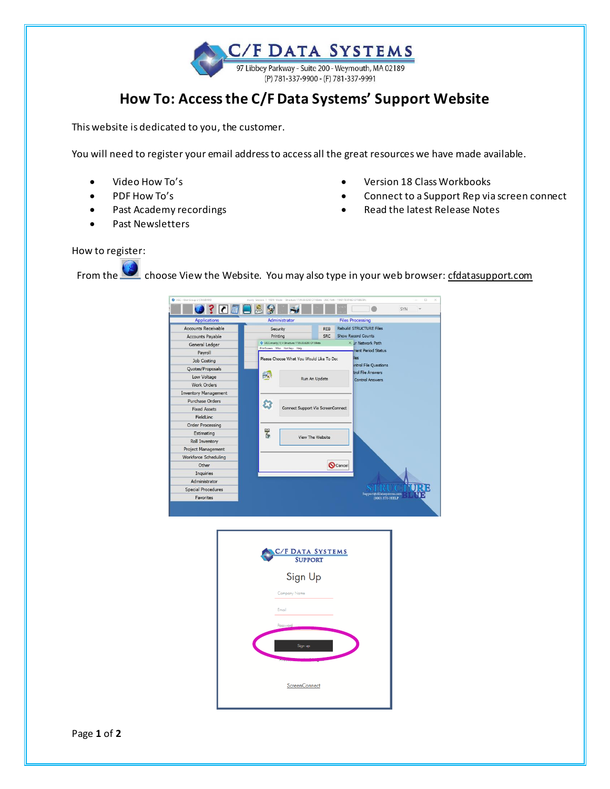C/F DATA SYSTEMS 97 Libbey Parkway - Suite 200 - Weymouth, MA 02189 (P) 781-337-9900 - (F) 781-337-9991

## **How To: Access the C/F Data Systems' Support Website**

This website is dedicated to you, the customer.

You will need to register your email address to access all the great resources we have made available.

- Video How To's
- PDF How To's
- Past Academy recordings
- Past Newsletters
- Version 18 Class Workbooks
- Connect to a Support Rep via screen connect
- Read the latest Release Notes

## How to register:

From the choose View the Website. You may also type in your web browser: cfdatasupport.com

| <b>Applications</b>         | Administrator                                                                      |                  |                                | <b>Files Processing</b>                     |  |
|-----------------------------|------------------------------------------------------------------------------------|------------------|--------------------------------|---------------------------------------------|--|
| <b>Accounts Receivable</b>  | Security                                                                           | <b>REB</b>       | <b>Rebuild STRUCTURE Files</b> |                                             |  |
| <b>Accounts Payable</b>     | Printing                                                                           | SRC              | <b>Show Record Counts</b>      |                                             |  |
| General Ledger              | UGC: marily(1) V Structure 17.99.00.6290 CF18Beta<br>PrintScreen Who Hot Keys Help |                  |                                | $\times$ Jr Network Path                    |  |
| Pavroll                     |                                                                                    |                  |                                | rent Period Status                          |  |
| Job Costing                 | Please Choose What You Would Like To Do:                                           |                  |                                | iles                                        |  |
| Quotes/Proposals            |                                                                                    |                  |                                | <b>Introl File Questions</b>                |  |
| Low Voltage                 | 峵                                                                                  | Run An Update    |                                | trol File Answers<br><b>Control Answers</b> |  |
| <b>Work Orders</b>          |                                                                                    |                  |                                |                                             |  |
| <b>Inventory Management</b> |                                                                                    |                  |                                |                                             |  |
| Purchase Orders             |                                                                                    |                  |                                |                                             |  |
| <b>Fixed Assets</b>         | Connect Support Via ScreenConnect                                                  |                  |                                |                                             |  |
| FieldLinc                   |                                                                                    |                  |                                |                                             |  |
| <b>Order Processing</b>     |                                                                                    |                  |                                |                                             |  |
| Estimating                  |                                                                                    | 18 包             |                                |                                             |  |
| Roll Inventory              |                                                                                    | View The Website |                                |                                             |  |
| <b>Project Management</b>   |                                                                                    |                  |                                |                                             |  |
| <b>Workforce Scheduling</b> |                                                                                    |                  |                                |                                             |  |
| Other                       |                                                                                    |                  | Cancel                         |                                             |  |
| Inquiries                   |                                                                                    |                  |                                |                                             |  |
| Administrator               |                                                                                    |                  |                                |                                             |  |
| <b>Special Procedures</b>   |                                                                                    |                  |                                |                                             |  |
| <b>Favorites</b>            |                                                                                    |                  |                                | Support@cfdatasystems.com<br>(800) 370-HELP |  |

| <b>C/F DATA SYSTEMS</b><br><b>SUPPORT</b> |
|-------------------------------------------|
| Sign Up                                   |
| Company Name                              |
| Email                                     |
| Password                                  |
| Sign up                                   |
|                                           |
| ScreenConnect                             |